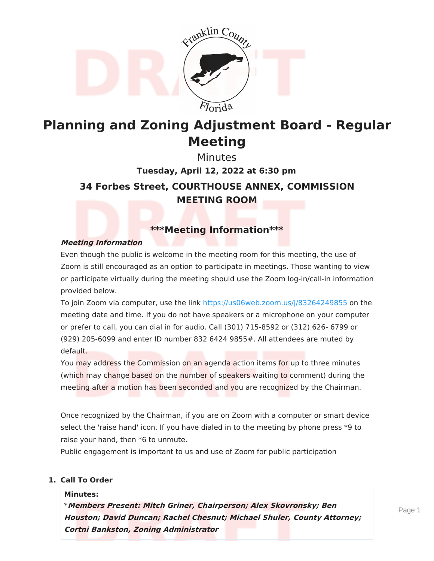

# **Planning and Zoning Adjustment Board - Regular Meeting**

**34 Forbes Street, COURTHOUSE ANNEX, COMMISSION MEETING ROOM Minutes Tuesday, April 12, 2022 at 6:30 pm**

# **\*\*\*Meeting Information\*\*\***

### **Meeting Information**

Even though the public is welcome in the meeting room for this meeting, the use of Zoom is still encouraged as an option to participate in meetings. Those wanting to view or participate virtually during the meeting should use the Zoom log-in/call-in information provided below.

To join Zoom via computer, use the link <https://us06web.zoom.us/j/83264249855> on the meeting date and time. If you do not have speakers or a microphone on your computer or prefer to call, you can dial in for audio. Call (301) 715-8592 or (312) 626- 6799 or (929) 205-6099 and enter ID number 832 6424 9855#. All attendees are muted by default.

You may address the Commission on an agenda action items for up to three minutes (which may change based on the number of speakers waiting to comment) during the meeting after a motion has been seconded and you are recognized by the Chairman.

Once recognized by the Chairman, if you are on Zoom with a computer or smart device select the 'raise hand' icon. If you have dialed in to the meeting by phone press \*9 to raise your hand, then \*6 to unmute.

Public engagement is important to us and use of Zoom for public participation

#### **1. Call To Order**

#### **Minutes:**

\***Members Present: Mitch Griner, Chairperson; Alex Skovronsky; Ben Houston; David Duncan; Rachel Chesnut; Michael Shuler, County Attorney; Cortni Bankston, Zoning Administrator**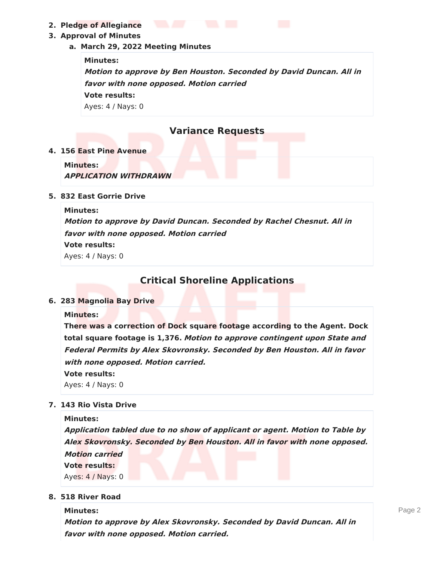**2. Pledge of Allegiance**

### **3. Approval of Minutes**

**a. March 29, 2022 Meeting Minutes**

**Minutes:**

**Motion to approve by Ben Houston. Seconded by David Duncan. All in favor with none opposed. Motion carried Vote results:** Ayes: 4 / Nays: 0

# **Variance Requests**

#### **4. 156 East Pine Avenue**

**Minutes: APPLICATION WITHDRAWN**

#### **5. 832 East Gorrie Drive**

#### **Minutes:**

**Motion to approve by David Duncan. Seconded by Rachel Chesnut. All in favor with none opposed. Motion carried**

### **Vote results:**

Ayes: 4 / Nays: 0

# **Critical Shoreline Applications**

#### **6. 283 Magnolia Bay Drive**

#### **Minutes:**

**There was a correction of Dock square footage according to the Agent. Dock total square footage is 1,376. Motion to approve contingent upon State and Federal Permits by Alex Skovronsky. Seconded by Ben Houston. All in favor with none opposed. Motion carried.**

**Vote results:**

Ayes: 4 / Nays: 0

### **7. 143 Rio Vista Drive**

**Minutes: Application tabled due to no show of applicant or agent. Motion to Table by Alex Skovronsky. Seconded by Ben Houston. All in favor with none opposed. Motion carried Vote results:** Ayes: 4 / Nays: 0

#### **8. 518 River Road**

**Minutes: Motion to approve by Alex Skovronsky. Seconded by David Duncan. All in favor with none opposed. Motion carried.**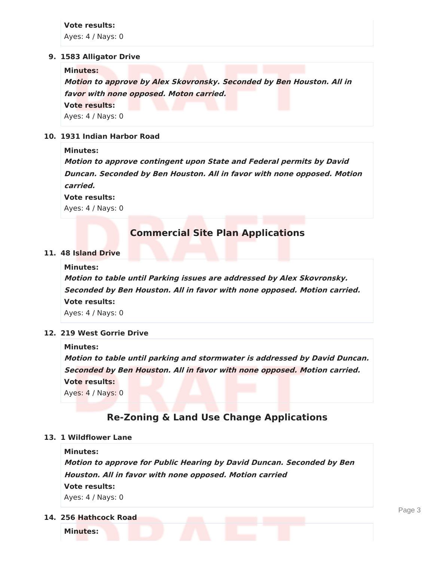**Vote results:** Ayes: 4 / Nays: 0

#### **9. 1583 Alligator Drive**

**Minutes: Motion to approve by Alex Skovronsky. Seconded by Ben Houston. All in favor with none opposed. Moton carried. Vote results:** Ayes: 4 / Nays: 0

#### **10. 1931 Indian Harbor Road**

#### **Minutes:**

**Motion to approve contingent upon State and Federal permits by David Duncan. Seconded by Ben Houston. All in favor with none opposed. Motion carried.**

**Vote results:**

Ayes: 4 / Nays: 0

### **Commercial Site Plan Applications**

#### **11. 48 Island Drive**

#### **Minutes:**

**Motion to table until Parking issues are addressed by Alex Skovronsky. Seconded by Ben Houston. All in favor with none opposed. Motion carried. Vote results:** Ayes: 4 / Nays: 0

#### **12. 219 West Gorrie Drive**

#### **Minutes:**

**Motion to table until parking and stormwater is addressed by David Duncan. Seconded by Ben Houston. All in favor with none opposed. Motion carried. Vote results:** Ayes: 4 / Nays: 0

### **Re-Zoning & Land Use Change Applications**

#### **13. 1 Wildflower Lane**

#### **Minutes:**

**Motion to approve for Public Hearing by David Duncan. Seconded by Ben Houston. All in favor with none opposed. Motion carried Vote results:** Ayes: 4 / Nays: 0

**14. 256 Hathcock Road**

**Minutes:**